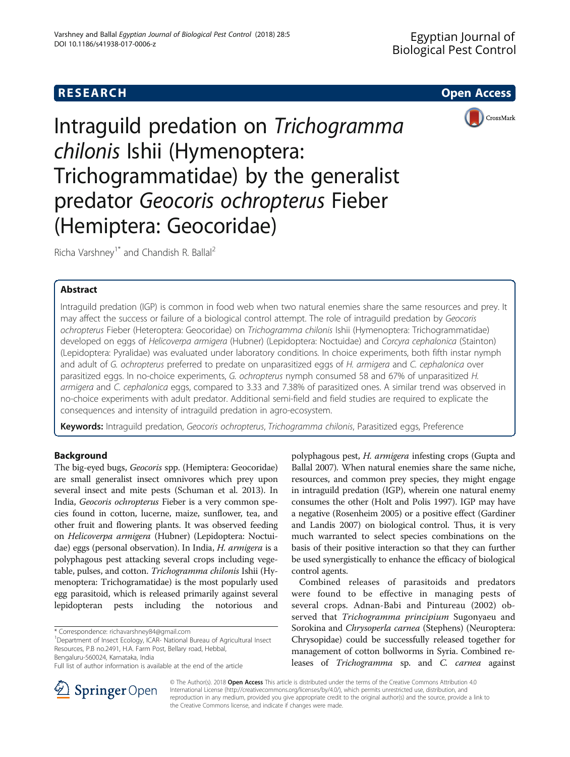# **RESEARCH CHEAR CHEAR CHEAR CHEAR CHEAR CHEAR CHEAR CHEAR CHEAR CHEAR CHEAR CHEAR CHEAR CHEAR CHEAR CHEAR CHEAR**



# Intraguild predation on Trichogramma chilonis Ishii (Hymenoptera: Trichogrammatidae) by the generalist predator Geocoris ochropterus Fieber (Hemiptera: Geocoridae)

Richa Varshney<sup>1\*</sup> and Chandish R. Ballal<sup>2</sup>

### Abstract

Intraguild predation (IGP) is common in food web when two natural enemies share the same resources and prey. It may affect the success or failure of a biological control attempt. The role of intraguild predation by Geocoris ochropterus Fieber (Heteroptera: Geocoridae) on Trichogramma chilonis Ishii (Hymenoptera: Trichogrammatidae) developed on eggs of Helicoverpa armigera (Hubner) (Lepidoptera: Noctuidae) and Corcyra cephalonica (Stainton) (Lepidoptera: Pyralidae) was evaluated under laboratory conditions. In choice experiments, both fifth instar nymph and adult of G. ochropterus preferred to predate on unparasitized eggs of H. armigera and C. cephalonica over parasitized eggs. In no-choice experiments, G. ochropterus nymph consumed 58 and 67% of unparasitized H. armigera and C. cephalonica eggs, compared to 3.33 and 7.38% of parasitized ones. A similar trend was observed in no-choice experiments with adult predator. Additional semi-field and field studies are required to explicate the consequences and intensity of intraguild predation in agro-ecosystem.

Keywords: Intraguild predation, Geocoris ochropterus, Trichogramma chilonis, Parasitized eggs, Preference

## Background

The big-eyed bugs, Geocoris spp. (Hemiptera: Geocoridae) are small generalist insect omnivores which prey upon several insect and mite pests (Schuman et al. [2013](#page-5-0)). In India, Geocoris ochropterus Fieber is a very common species found in cotton, lucerne, maize, sunflower, tea, and other fruit and flowering plants. It was observed feeding on Helicoverpa armigera (Hubner) (Lepidoptera: Noctuidae) eggs (personal observation). In India, H. armigera is a polyphagous pest attacking several crops including vegetable, pulses, and cotton. Trichogramma chilonis Ishii (Hymenoptera: Trichogramatidae) is the most popularly used egg parasitoid, which is released primarily against several lepidopteran pests including the notorious and

<sup>1</sup>Department of Insect Ecology, ICAR- National Bureau of Agricultural Insect Resources, P.B no.2491, H.A. Farm Post, Bellary road, Hebbal, Bengaluru-560024, Karnataka, India

polyphagous pest, H. armigera infesting crops (Gupta and Ballal [2007\)](#page-4-0). When natural enemies share the same niche, resources, and common prey species, they might engage in intraguild predation (IGP), wherein one natural enemy consumes the other (Holt and Polis [1997\)](#page-4-0). IGP may have a negative (Rosenheim [2005](#page-5-0)) or a positive effect (Gardiner and Landis [2007](#page-4-0)) on biological control. Thus, it is very much warranted to select species combinations on the basis of their positive interaction so that they can further be used synergistically to enhance the efficacy of biological control agents.

Combined releases of parasitoids and predators were found to be effective in managing pests of several crops. Adnan-Babi and Pintureau ([2002\)](#page-4-0) observed that Trichogramma principium Sugonyaeu and Sorokina and Chrysoperla carnea (Stephens) (Neuroptera: Chrysopidae) could be successfully released together for management of cotton bollworms in Syria. Combined releases of Trichogramma sp. and C. carnea against



© The Author(s). 2018 Open Access This article is distributed under the terms of the Creative Commons Attribution 4.0 International License ([http://creativecommons.org/licenses/by/4.0/\)](http://creativecommons.org/licenses/by/4.0/), which permits unrestricted use, distribution, and reproduction in any medium, provided you give appropriate credit to the original author(s) and the source, provide a link to the Creative Commons license, and indicate if changes were made.

<sup>\*</sup> Correspondence: [richavarshney84@gmail.com](mailto:richavarshney84@gmail.com) <sup>1</sup>

Full list of author information is available at the end of the article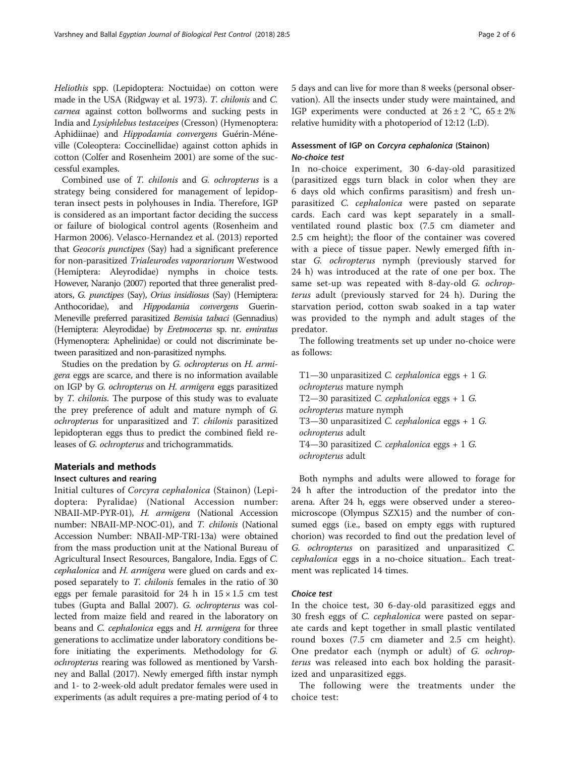Heliothis spp. (Lepidoptera: Noctuidae) on cotton were made in the USA (Ridgway et al. [1973](#page-4-0)). T. chilonis and C. carnea against cotton bollworms and sucking pests in India and Lysiphlebus testaceipes (Cresson) (Hymenoptera: Aphidiinae) and Hippodamia convergens Guérin-Méneville (Coleoptera: Coccinellidae) against cotton aphids in cotton (Colfer and Rosenheim [2001](#page-4-0)) are some of the successful examples.

Combined use of T. chilonis and G. ochropterus is a strategy being considered for management of lepidopteran insect pests in polyhouses in India. Therefore, IGP is considered as an important factor deciding the success or failure of biological control agents (Rosenheim and Harmon [2006\)](#page-5-0). Velasco-Hernandez et al. ([2013\)](#page-5-0) reported that Geocoris punctipes (Say) had a significant preference for non-parasitized Trialeurodes vaporariorum Westwood (Hemiptera: Aleyrodidae) nymphs in choice tests. However, Naranjo ([2007](#page-4-0)) reported that three generalist predators, G. punctipes (Say), Orius insidiosus (Say) (Hemiptera: Anthocoridae), and Hippodamia convergens Guerin-Meneville preferred parasitized Bemisia tabaci (Gennadius) (Hemiptera: Aleyrodidae) by Eretmocerus sp. nr. emiratus (Hymenoptera: Aphelinidae) or could not discriminate between parasitized and non-parasitized nymphs.

Studies on the predation by G. ochropterus on H. armigera eggs are scarce, and there is no information available on IGP by G. ochropterus on H. armigera eggs parasitized by T. chilonis. The purpose of this study was to evaluate the prey preference of adult and mature nymph of G. ochropterus for unparasitized and T. chilonis parasitized lepidopteran eggs thus to predict the combined field releases of G. ochropterus and trichogrammatids.

#### Materials and methods

#### Insect cultures and rearing

Initial cultures of Corcyra cephalonica (Stainon) (Lepidoptera: Pyralidae) (National Accession number: NBAII-MP-PYR-01), H. armigera (National Accession number: NBAII-MP-NOC-01), and *T. chilonis* (National Accession Number: NBAII-MP-TRI-13a) were obtained from the mass production unit at the National Bureau of Agricultural Insect Resources, Bangalore, India. Eggs of C. cephalonica and H. armigera were glued on cards and exposed separately to T. chilonis females in the ratio of 30 eggs per female parasitoid for 24 h in  $15 \times 1.5$  cm test tubes (Gupta and Ballal [2007](#page-4-0)). G. ochropterus was collected from maize field and reared in the laboratory on beans and C. cephalonica eggs and H. armigera for three generations to acclimatize under laboratory conditions before initiating the experiments. Methodology for G. ochropterus rearing was followed as mentioned by Varshney and Ballal [\(2017\)](#page-5-0). Newly emerged fifth instar nymph and 1- to 2-week-old adult predator females were used in experiments (as adult requires a pre-mating period of 4 to

5 days and can live for more than 8 weeks (personal observation). All the insects under study were maintained, and IGP experiments were conducted at  $26 \pm 2$  °C,  $65 \pm 2\%$ relative humidity with a photoperiod of 12:12 (L:D).

# Assessment of IGP on Corcyra cephalonica (Stainon)<br>No-choice test

In no-choice experiment, 30 6-day-old parasitized (parasitized eggs turn black in color when they are 6 days old which confirms parasitism) and fresh unparasitized C. cephalonica were pasted on separate cards. Each card was kept separately in a smallventilated round plastic box (7.5 cm diameter and 2.5 cm height); the floor of the container was covered with a piece of tissue paper. Newly emerged fifth instar G. ochropterus nymph (previously starved for 24 h) was introduced at the rate of one per box. The same set-up was repeated with 8-day-old G. ochropterus adult (previously starved for 24 h). During the starvation period, cotton swab soaked in a tap water was provided to the nymph and adult stages of the predator.

The following treatments set up under no-choice were as follows:

T1—30 unparasitized C. cephalonica eggs + 1 G. ochropterus mature nymph T2—30 parasitized C. cephalonica eggs + 1 G. ochropterus mature nymph T3—30 unparasitized C. cephalonica eggs + 1 G. ochropterus adult T4—30 parasitized C. cephalonica eggs + 1 G. ochropterus adult

Both nymphs and adults were allowed to forage for 24 h after the introduction of the predator into the arena. After 24 h, eggs were observed under a stereomicroscope (Olympus SZX15) and the number of consumed eggs (i.e., based on empty eggs with ruptured chorion) was recorded to find out the predation level of G. ochropterus on parasitized and unparasitized C. cephalonica eggs in a no-choice situation.. Each treatment was replicated 14 times.

In the choice test, 30 6-day-old parasitized eggs and 30 fresh eggs of C. cephalonica were pasted on separate cards and kept together in small plastic ventilated round boxes (7.5 cm diameter and 2.5 cm height). One predator each (nymph or adult) of G. ochropterus was released into each box holding the parasitized and unparasitized eggs.

The following were the treatments under the choice test: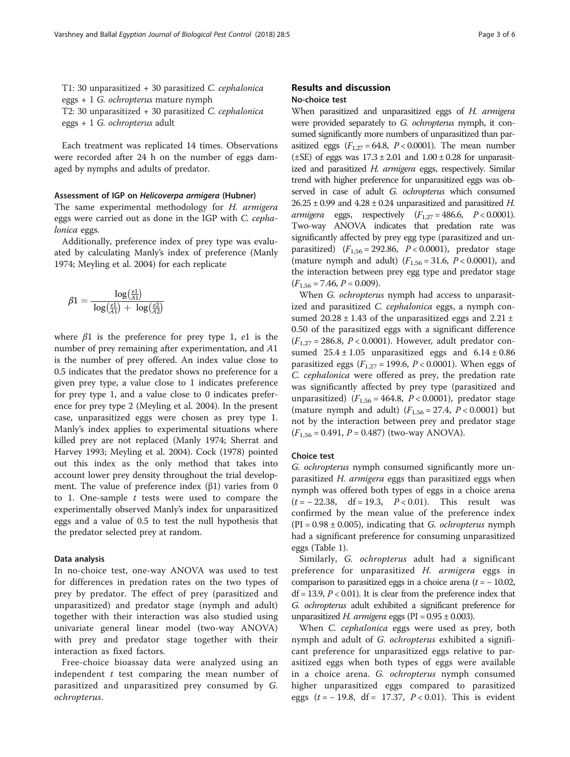T1: 30 unparasitized + 30 parasitized C. cephalonica eggs + 1 G. ochropterus mature nymph T2: 30 unparasitized + 30 parasitized C. cephalonica eggs + 1 G. ochropterus adult

Each treatment was replicated 14 times. Observations were recorded after 24 h on the number of eggs damaged by nymphs and adults of predator.

#### Assessment of IGP on Helicoverpa armigera (Hubner)

The same experimental methodology for H. armigera eggs were carried out as done in the IGP with C. cephalonica eggs.

Additionally, preference index of prey type was evaluated by calculating Manly's index of preference (Manly [1974](#page-4-0); Meyling et al. [2004\)](#page-4-0) for each replicate

$$
\beta 1 = \frac{\log(\frac{e1}{A1})}{\log(\frac{e1}{A1}) + \log(\frac{e2}{A2})}
$$

where  $\beta$ 1 is the preference for prey type 1, e1 is the number of prey remaining after experimentation, and A1 is the number of prey offered. An index value close to 0.5 indicates that the predator shows no preference for a given prey type, a value close to 1 indicates preference for prey type 1, and a value close to 0 indicates preference for prey type 2 (Meyling et al. [2004](#page-4-0)). In the present case, unparasitized eggs were chosen as prey type 1. Manly's index applies to experimental situations where killed prey are not replaced (Manly [1974](#page-4-0); Sherrat and Harvey [1993](#page-5-0); Meyling et al. [2004\)](#page-4-0). Cock ([1978\)](#page-4-0) pointed out this index as the only method that takes into account lower prey density throughout the trial development. The value of preference index (β1) varies from 0 to 1. One-sample  $t$  tests were used to compare the experimentally observed Manly's index for unparasitized eggs and a value of 0.5 to test the null hypothesis that the predator selected prey at random.

#### Data analysis

In no-choice test, one-way ANOVA was used to test for differences in predation rates on the two types of prey by predator. The effect of prey (parasitized and unparasitized) and predator stage (nymph and adult) together with their interaction was also studied using univariate general linear model (two-way ANOVA) with prey and predator stage together with their interaction as fixed factors.

Free-choice bioassay data were analyzed using an independent  $t$  test comparing the mean number of parasitized and unparasitized prey consumed by G. ochropterus.

### Results and discussion No-choice test

When parasitized and unparasitized eggs of H. armigera were provided separately to G. ochropterus nymph, it consumed significantly more numbers of unparasitized than parasitized eggs  $(F_{1,27} = 64.8, P < 0.0001)$ . The mean number ( $\pm$ SE) of eggs was  $17.3 \pm 2.01$  and  $1.00 \pm 0.28$  for unparasitized and parasitized H. armigera eggs, respectively. Similar trend with higher preference for unparasitized eggs was observed in case of adult G. ochropterus which consumed  $26.25 \pm 0.99$  and  $4.28 \pm 0.24$  unparasitized and parasitized H. armigera eggs, respectively  $(F_{1,27} = 486.6, P < 0.0001)$ . Two-way ANOVA indicates that predation rate was significantly affected by prey egg type (parasitized and unparasitized)  $(F_{1,56} = 292.86, P < 0.0001)$ , predator stage (mature nymph and adult)  $(F_{1,56} = 31.6, P < 0.0001)$ , and the interaction between prey egg type and predator stage  $(F_{1,56} = 7.46, P = 0.009).$ 

When *G. ochropterus* nymph had access to unparasitized and parasitized C. cephalonica eggs, a nymph consumed  $20.28 \pm 1.43$  of the unparasitized eggs and  $2.21 \pm$ 0.50 of the parasitized eggs with a significant difference  $(F_{1,27} = 286.8, P < 0.0001)$ . However, adult predator consumed  $25.4 \pm 1.05$  unparasitized eggs and  $6.14 \pm 0.86$ parasitized eggs ( $F_{1,27}$  = 199.6,  $P < 0.0001$ ). When eggs of C. cephalonica were offered as prey, the predation rate was significantly affected by prey type (parasitized and unparasitized)  $(F_{1,56} = 464.8, P < 0.0001)$ , predator stage (mature nymph and adult)  $(F_{1,56} = 27.4, P < 0.0001)$  but not by the interaction between prey and predator stage  $(F_{1,56} = 0.491, P = 0.487)$  (two-way ANOVA).

#### Choice test

G. ochropterus nymph consumed significantly more unparasitized H. armigera eggs than parasitized eggs when nymph was offered both types of eggs in a choice arena  $(t = -22.38, \text{ df} = 19.3, P < 0.01)$ . This result was confirmed by the mean value of the preference index  $(PI = 0.98 \pm 0.005)$ , indicating that *G. ochropterus* nymph had a significant preference for consuming unparasitized eggs (Table [1](#page-3-0)).

Similarly, G. ochropterus adult had a significant preference for unparasitized H. armigera eggs in comparison to parasitized eggs in a choice arena  $(t = -10.02,$  $df = 13.9, P < 0.01$ ). It is clear from the preference index that G. ochropterus adult exhibited a significant preference for unparasitized H. armigera eggs (PI =  $0.95 \pm 0.003$ ).

When *C. cephalonica* eggs were used as prey, both nymph and adult of G. ochropterus exhibited a significant preference for unparasitized eggs relative to parasitized eggs when both types of eggs were available in a choice arena. G. ochropterus nymph consumed higher unparasitized eggs compared to parasitized eggs ( $t = -19.8$ , df = 17.37,  $P < 0.01$ ). This is evident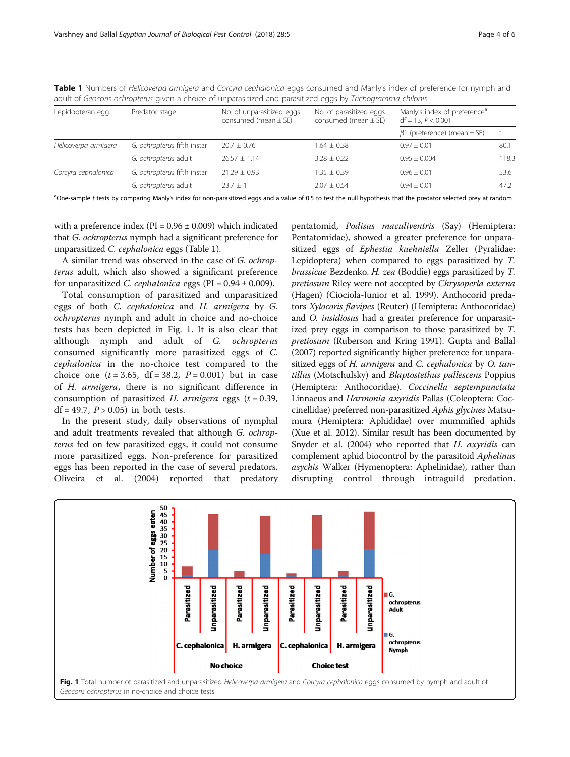<span id="page-3-0"></span>

| Table 1 Numbers of Helicoverpa armigera and Corcyra cephalonica eggs consumed and Manly's index of preference for nymph and |  |  |  |  |
|-----------------------------------------------------------------------------------------------------------------------------|--|--|--|--|
| adult of Geocoris ochropterus given a choice of unparasitized and parasitized eggs by Trichogramma chilonis                 |  |  |  |  |
|                                                                                                                             |  |  |  |  |

| Lepidopteran egg     | Predator stage              | No. of unparasitized eggs<br>consumed (mean $\pm$ SE) | No. of parasitized eggs<br>consumed (mean $\pm$ SE) | Manly's index of preference <sup>a</sup><br>$df = 13, P < 0.001$ |       |  |
|----------------------|-----------------------------|-------------------------------------------------------|-----------------------------------------------------|------------------------------------------------------------------|-------|--|
|                      |                             |                                                       |                                                     | $\beta$ 1 (preference) (mean $\pm$ SE)                           |       |  |
| Helicoverpa armigera | G. ochropterus fifth instar | $20.7 \pm 0.76$                                       | $1.64 \pm 0.38$                                     | $0.97 \pm 0.01$                                                  | 80.1  |  |
|                      | G. ochropterus adult        | $26.57 \pm 1.14$                                      | $3.28 + 0.22$                                       | $0.95 + 0.004$                                                   | 118.3 |  |
| Corcyra cephalonica  | G. ochropterus fifth instar | $21.29 + 0.93$                                        | $1.35 + 0.39$                                       | $0.96 + 0.01$                                                    | 53.6  |  |
|                      | G. ochropterus adult        | $23.7 + 1$                                            | $2.07 + 0.54$                                       | $0.94 + 0.01$                                                    | 47.2  |  |

<sup>a</sup>One-sample t tests by comparing Manly's index for non-parasitized eggs and a value of 0.5 to test the null hypothesis that the predator selected prey at random

with a preference index ( $PI = 0.96 \pm 0.009$ ) which indicated that G. ochropterus nymph had a significant preference for unparasitized C. cephalonica eggs (Table 1).

A similar trend was observed in the case of G. ochropterus adult, which also showed a significant preference for unparasitized *C. cephalonica* eggs ( $PI = 0.94 \pm 0.009$ ).

Total consumption of parasitized and unparasitized eggs of both C. cephalonica and H. armigera by G. ochropterus nymph and adult in choice and no-choice tests has been depicted in Fig. 1. It is also clear that although nymph and adult of G. ochropterus consumed significantly more parasitized eggs of C. cephalonica in the no-choice test compared to the choice one  $(t = 3.65, df = 38.2, P = 0.001)$  but in case of H. armigera, there is no significant difference in consumption of parasitized H. armigera eggs  $(t = 0.39,$ df = 49.7,  $P > 0.05$ ) in both tests.

In the present study, daily observations of nymphal and adult treatments revealed that although G. ochropterus fed on few parasitized eggs, it could not consume more parasitized eggs. Non-preference for parasitized eggs has been reported in the case of several predators. Oliveira et al. [\(2004\)](#page-4-0) reported that predatory

pentatomid, Podisus maculiventris (Say) (Hemiptera: Pentatomidae), showed a greater preference for unparasitized eggs of Ephestia kuehniella Zeller (Pyralidae: Lepidoptera) when compared to eggs parasitized by T. brassicae Bezdenko. H. zea (Boddie) eggs parasitized by T. pretiosum Riley were not accepted by Chrysoperla externa (Hagen) (Ciociola-Junior et al. [1999](#page-4-0)). Anthocorid predators Xylocoris flavipes (Reuter) (Hemiptera: Anthocoridae) and *O. insidiosus* had a greater preference for unparasitized prey eggs in comparison to those parasitized by T. pretiosum (Ruberson and Kring [1991\)](#page-5-0). Gupta and Ballal ([2007](#page-4-0)) reported significantly higher preference for unparasitized eggs of H. armigera and C. cephalonica by O. tantillus (Motschulsky) and Blaptostethus pallescens Poppius (Hemiptera: Anthocoridae). Coccinella septempunctata Linnaeus and Harmonia axyridis Pallas (Coleoptera: Coccinellidae) preferred non-parasitized Aphis glycines Matsumura (Hemiptera: Aphididae) over mummified aphids (Xue et al. [2012](#page-5-0)). Similar result has been documented by Snyder et al. ([2004](#page-5-0)) who reported that H. axyridis can complement aphid biocontrol by the parasitoid Aphelinus asychis Walker (Hymenoptera: Aphelinidae), rather than disrupting control through intraguild predation.

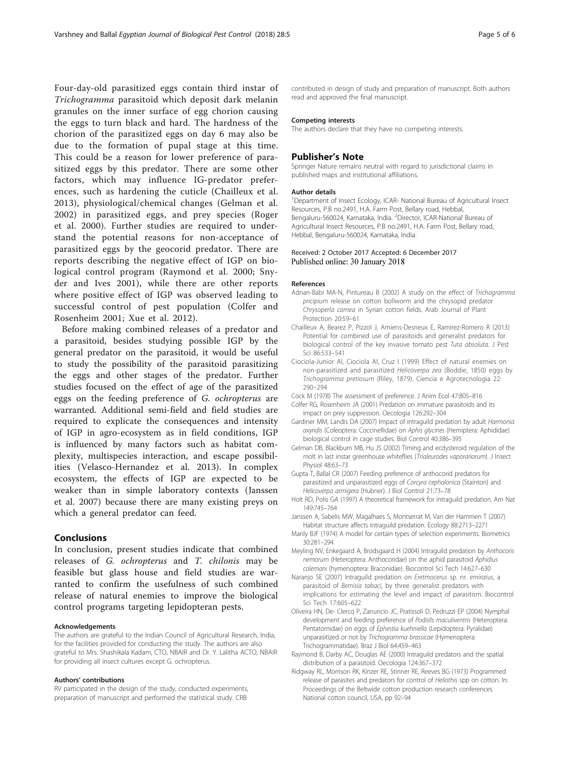<span id="page-4-0"></span>Four-day-old parasitized eggs contain third instar of Trichogramma parasitoid which deposit dark melanin granules on the inner surface of egg chorion causing the eggs to turn black and hard. The hardness of the chorion of the parasitized eggs on day 6 may also be due to the formation of pupal stage at this time. This could be a reason for lower preference of parasitized eggs by this predator. There are some other factors, which may influence IG-predator preferences, such as hardening the cuticle (Chailleux et al. 2013), physiological/chemical changes (Gelman et al. 2002) in parasitized eggs, and prey species (Roger et al. [2000](#page-5-0)). Further studies are required to understand the potential reasons for non-acceptance of parasitized eggs by the geocorid predator. There are reports describing the negative effect of IGP on biological control program (Raymond et al. 2000; Snyder and Ives [2001](#page-5-0)), while there are other reports where positive effect of IGP was observed leading to successful control of pest population (Colfer and Rosenheim 2001; Xue et al. [2012](#page-5-0)).

Before making combined releases of a predator and a parasitoid, besides studying possible IGP by the general predator on the parasitoid, it would be useful to study the possibility of the parasitoid parasitizing the eggs and other stages of the predator. Further studies focused on the effect of age of the parasitized eggs on the feeding preference of G. ochropterus are warranted. Additional semi-field and field studies are required to explicate the consequences and intensity of IGP in agro-ecosystem as in field conditions, IGP is influenced by many factors such as habitat complexity, multispecies interaction, and escape possibilities (Velasco-Hernandez et al. [2013\)](#page-5-0). In complex ecosystem, the effects of IGP are expected to be weaker than in simple laboratory contexts (Janssen et al. 2007) because there are many existing preys on which a general predator can feed.

#### Conclusions

In conclusion, present studies indicate that combined releases of G. ochropterus and T. chilonis may be feasible but glass house and field studies are warranted to confirm the usefulness of such combined release of natural enemies to improve the biological control programs targeting lepidopteran pests.

#### Acknowledgements

The authors are grateful to the Indian Council of Agricultural Research, India, for the facilities provided for conducting the study. The authors are also grateful to Mrs. Shashikala Kadam, CTO, NBAIR and Dr. Y. Lalitha ACTO, NBAIR for providing all insect cultures except G. ochropterus.

#### Authors' contributions

RV participated in the design of the study, conducted experiments, preparation of manuscript and performed the statistical study. CRB

contributed in design of study and preparation of manuscript. Both authors read and approved the final manuscript.

#### Competing interests

The authors declare that they have no competing interests.

#### Publisher's Note

Springer Nature remains neutral with regard to jurisdictional claims in published maps and institutional affiliations.

#### Author details

<sup>1</sup>Department of Insect Ecology, ICAR- National Bureau of Agricultural Insect Resources, P.B no.2491, H.A. Farm Post, Bellary road, Hebbal, Bengaluru-560024, Karnataka, India. <sup>2</sup>Director, ICAR-National Bureau of Agricultural Insect Resources, P.B no.2491, H.A. Farm Post, Bellary road, Hebbal, Bengaluru-560024, Karnataka, India.

#### Received: 2 October 2017 Accepted: 6 December 2017 Published online: 30 January 2018

#### References

- Adnan-Babi MA-N, Pintureau B (2002) A study on the effect of Trichogramma pricipium release on cotton bollworm and the chrysopid predator Chrysoperla carnea in Syrian cotton fields. Arab Journal of Plant Protection 20:59–61
- Chailleux A, Bearez P, Pizzol J, Amiens-Desneux E, Ramirez-Romero R (2013) Potential for combined use of parasitoids and generalist predators for biological control of the key invasive tomato pest Tuta absoluta. J Pest Sci 86:533–541
- Ciociola-Junior AI, Ciociola AI, Cruz I (1999) Effect of natural enemies on non-parasitized and parasitized Helicoverpa zea (Boddie, 1850) eggs by Trichogramma pretiosum (Riley, 1879). Ciencia e Agrotecnologia 22: 290–294
- Cock M (1978) The assessment of preference. J Anim Ecol 47:805–816

Colfer RG, Rosenheim JA (2001) Predation on immature parasitoids and its impact on prey suppression. Oecologia 126:292–304

- Gardiner MM, Landis DA (2007) Impact of intraguild predation by adult Harmonia axyridis (Coleoptera: Coccinellidae) on Aphis glycines (Hemiptera: Aphididae) biological control in cage studies. Biol Control 40:386–395
- Gelman DB, Blackburn MB, Hu JS (2002) Timing and ecdysteroid regulation of the molt in last instar greenhouse whiteflies (Trialeurodes vaporariorum). J Insect Physiol 48:63–73
- Gupta T, Ballal CR (2007) Feeding preference of anthocorid predators for parasitized and unparasitized eggs of Corcyra cephalonica (Stainton) and Helicoverpa armigera (Hubner). J Biol Control 21:73–78
- Holt RD, Polis GA (1997) A theoretical framework for intraguild predation. Am Nat 149:745–764
- Janssen A, Sabelis MW, Magalhaes S, Montserrat M, Van der Hammen T (2007) Habitat structure affects intraguild predation. Ecology 88:2713–2271
- Manly BJF (1974) A model for certain types of selection experiments. Biometrics 30:281–294
- Meyling NV, Enkegaard A, Brodsgaard H (2004) Intraguild predation by Anthocoris nemorum (Heteroptera: Anthocoridae) on the aphid parasitoid Aphidius colemani (hymenoptera: Braconidae). Biocontrol Sci Tech 14:627–630
- Naranjo SE (2007) Intraguild predation on Eretmocerus sp. nr. emiratus, a parasitoid of Bemisia tabaci, by three generalist predators with implications for estimating the level and impact of parasitism. Biocontrol Sci Tech 17:605–622
- Oliveira HN, De- Clercq P, Zanuncio JC, Pratissoli D, Pedruzzi EP (2004) Nymphal development and feeding preference of PodislIs maculiventris (Heteroptera: Pentatomidae) on eggs of Ephestia kuehniella (Lepidoptera: Pyralidae) unparasitized or not by Trichogramma brassicae (Hymenoptera: Trichogrammatidae). Braz J Biol 64:459–463
- Raymond B, Darby AC, Douglas AE (2000) Intraguild predators and the spatial distribution of a parasitoid. Oecologia 124:367–372
- Ridgway RL, Morrison RK, Kinzer RE, Stinner RE, Reeves BG (1973) Programmed release of parasites and predators for control of Heliothis spp on cotton. In: Proceedings of the Beltwide cotton production research conferences. National cotton council, USA, pp 92–94